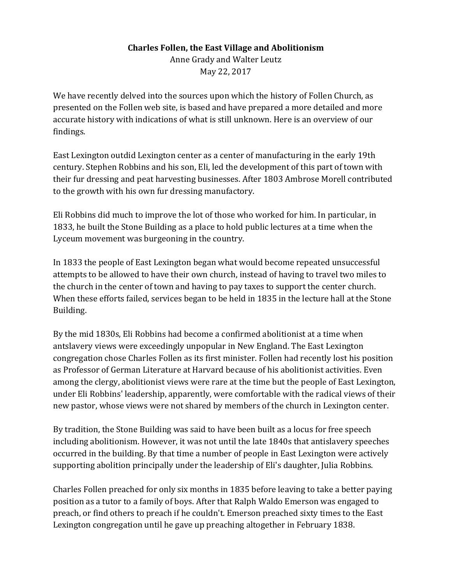### **Charles Follen, the East Village and Abolitionism**

Anne Grady and Walter Leutz May 22, 2017

We have recently delved into the sources upon which the history of Follen Church, as presented on the Follen web site, is based and have prepared a more detailed and more accurate history with indications of what is still unknown. Here is an overview of our findings. 

East Lexington outdid Lexington center as a center of manufacturing in the early 19th century. Stephen Robbins and his son, Eli, led the development of this part of town with their fur dressing and peat harvesting businesses. After 1803 Ambrose Morell contributed to the growth with his own fur dressing manufactory.

Eli Robbins did much to improve the lot of those who worked for him. In particular, in 1833, he built the Stone Building as a place to hold public lectures at a time when the Lyceum movement was burgeoning in the country.

In 1833 the people of East Lexington began what would become repeated unsuccessful attempts to be allowed to have their own church, instead of having to travel two miles to the church in the center of town and having to pay taxes to support the center church. When these efforts failed, services began to be held in 1835 in the lecture hall at the Stone Building.

By the mid 1830s, Eli Robbins had become a confirmed abolitionist at a time when antslavery views were exceedingly unpopular in New England. The East Lexington congregation chose Charles Follen as its first minister. Follen had recently lost his position as Professor of German Literature at Harvard because of his abolitionist activities. Even among the clergy, abolitionist views were rare at the time but the people of East Lexington, under Eli Robbins' leadership, apparently, were comfortable with the radical views of their new pastor, whose views were not shared by members of the church in Lexington center.

By tradition, the Stone Building was said to have been built as a locus for free speech including abolitionism. However, it was not until the late 1840s that antislavery speeches occurred in the building. By that time a number of people in East Lexington were actively supporting abolition principally under the leadership of Eli's daughter, Julia Robbins.

Charles Follen preached for only six months in 1835 before leaving to take a better paying position as a tutor to a family of boys. After that Ralph Waldo Emerson was engaged to preach, or find others to preach if he couldn't. Emerson preached sixty times to the East Lexington congregation until he gave up preaching altogether in February 1838.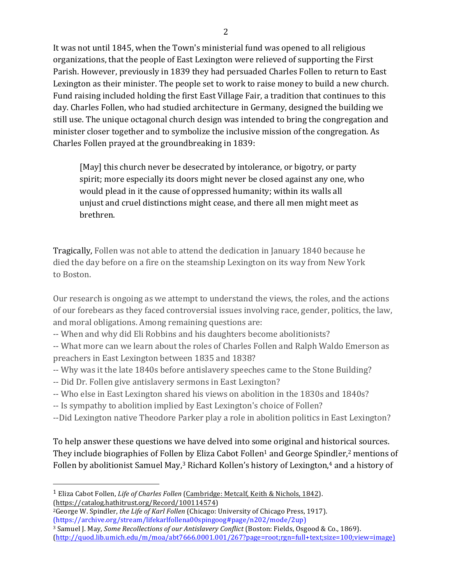It was not until 1845, when the Town's ministerial fund was opened to all religious organizations, that the people of East Lexington were relieved of supporting the First Parish. However, previously in 1839 they had persuaded Charles Follen to return to East Lexington as their minister. The people set to work to raise money to build a new church. Fund raising included holding the first East Village Fair, a tradition that continues to this day. Charles Follen, who had studied architecture in Germany, designed the building we still use. The unique octagonal church design was intended to bring the congregation and minister closer together and to symbolize the inclusive mission of the congregation. As Charles Follen prayed at the groundbreaking in 1839:

[May] this church never be desecrated by intolerance, or bigotry, or party spirit; more especially its doors might never be closed against any one, who would plead in it the cause of oppressed humanity; within its walls all unjust and cruel distinctions might cease, and there all men might meet as brethren.

**Tragically, Follen was not able to attend the dedication in January 1840 because he** died the day before on a fire on the steamship Lexington on its way from New York to Boston.

Our research is ongoing as we attempt to understand the views, the roles, and the actions of our forebears as they faced controversial issues involving race, gender, politics, the law, and moral obligations. Among remaining questions are:

-- When and why did Eli Robbins and his daughters become abolitionists?

-- What more can we learn about the roles of Charles Follen and Ralph Waldo Emerson as preachers in East Lexington between 1835 and 1838?

- -- Why was it the late 1840s before antislavery speeches came to the Stone Building?
- -- Did Dr. Follen give antislavery sermons in East Lexington?

 

- -- Who else in East Lexington shared his views on abolition in the 1830s and 1840s?
- -- Is sympathy to abolition implied by East Lexington's choice of Follen?
- --Did Lexington native Theodore Parker play a role in abolition politics in East Lexington?

To help answer these questions we have delved into some original and historical sources. They include biographies of Follen by Eliza Cabot Follen<sup>1</sup> and George Spindler,<sup>2</sup> mentions of Follen by abolitionist Samuel May,<sup>3</sup> Richard Kollen's history of Lexington,<sup>4</sup> and a history of

<sup>3</sup> Samuel J. May, *Some Recollections of our Antislavery Conflict* (Boston: Fields, Osgood & Co., 1869). (http://quod.lib.umich.edu/m/moa/abt7666.0001.001/267?page=root;rgn=full+text;size=100;view=image)

<sup>&</sup>lt;sup>1</sup> Eliza Cabot Follen, *Life of Charles Follen* (Cambridge: Metcalf, Keith & Nichols, 1842). (https://catalog.hathitrust.org/Record/100114574)

<sup>&</sup>lt;sup>2</sup>George W. Spindler, *the Life of Karl Follen* (Chicago: University of Chicago Press, 1917). (https://archive.org/stream/lifekarlfollena00spingoog#page/n202/mode/2up)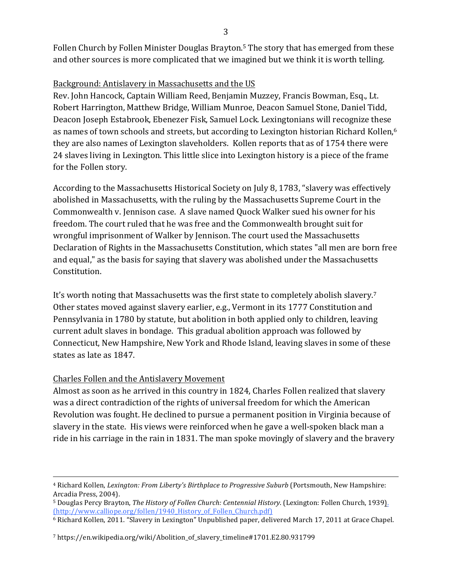Follen Church by Follen Minister Douglas Brayton.<sup>5</sup> The story that has emerged from these and other sources is more complicated that we imagined but we think it is worth telling.

# Background: Antislavery in Massachusetts and the US

Rev. John Hancock, Captain William Reed, Benjamin Muzzey, Francis Bowman, Esq., Lt. Robert Harrington, Matthew Bridge, William Munroe, Deacon Samuel Stone, Daniel Tidd, Deacon Joseph Estabrook, Ebenezer Fisk, Samuel Lock. Lexingtonians will recognize these as names of town schools and streets, but according to Lexington historian Richard Kollen,<sup>6</sup> they are also names of Lexington slaveholders. Kollen reports that as of 1754 there were 24 slaves living in Lexington. This little slice into Lexington history is a piece of the frame for the Follen story.

According to the Massachusetts Historical Society on July 8, 1783, "slavery was effectively abolished in Massachusetts, with the ruling by the Massachusetts Supreme Court in the Commonwealth v. Jennison case. A slave named Quock Walker sued his owner for his freedom. The court ruled that he was free and the Commonwealth brought suit for wrongful imprisonment of Walker by Jennison. The court used the Massachusetts Declaration of Rights in the Massachusetts Constitution, which states "all men are born free and equal," as the basis for saying that slavery was abolished under the Massachusetts Constitution.

It's worth noting that Massachusetts was the first state to completely abolish slavery.<sup>7</sup> Other states moved against slavery earlier, e.g., Vermont in its 1777 Constitution and Pennsylvania in 1780 by statute, but abolition in both applied only to children, leaving current adult slaves in bondage. This gradual abolition approach was followed by Connecticut, New Hampshire, New York and Rhode Island, leaving slaves in some of these states as late as 1847.

# Charles Follen and the Antislavery Movement

Almost as soon as he arrived in this country in 1824, Charles Follen realized that slavery was a direct contradiction of the rights of universal freedom for which the American Revolution was fought. He declined to pursue a permanent position in Virginia because of slavery in the state. His views were reinforced when he gave a well-spoken black man a ride in his carriage in the rain in 1831. The man spoke movingly of slavery and the bravery

<u> 1989 - Andrea San Andrea San Andrea San Andrea San Andrea San Andrea San Andrea San Andrea San Andrea San An</u>

<sup>&</sup>lt;sup>4</sup> Richard Kollen, *Lexington: From Liberty's Birthplace to Progressive Suburb* (Portsmouth, New Hampshire: Arcadia Press, 2004).

<sup>&</sup>lt;sup>5</sup> Douglas Percy Brayton, *The History of Follen Church: Centennial History.* (Lexington: Follen Church, 1939). (http://www.calliope.org/follen/1940\_History\_of\_Follen\_Church.pdf)

<sup>&</sup>lt;sup>6</sup> Richard Kollen, 2011. "Slavery in Lexington" Unpublished paper, delivered March 17, 2011 at Grace Chapel.

<sup>7</sup> https://en.wikipedia.org/wiki/Abolition\_of\_slavery\_timeline#1701.E2.80.931799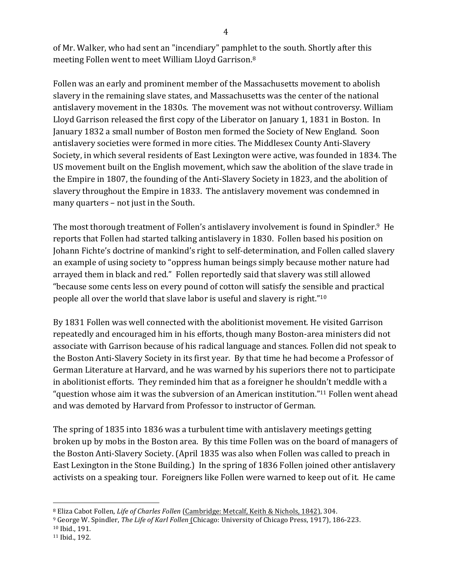of Mr. Walker, who had sent an "incendiary" pamphlet to the south. Shortly after this meeting Follen went to meet William Lloyd Garrison.<sup>8</sup>

Follen was an early and prominent member of the Massachusetts movement to abolish slavery in the remaining slave states, and Massachusetts was the center of the national antislavery movement in the 1830s. The movement was not without controversy. William Lloyd Garrison released the first copy of the Liberator on January 1, 1831 in Boston. In January 1832 a small number of Boston men formed the Society of New England. Soon antislavery societies were formed in more cities. The Middlesex County Anti-Slavery Society, in which several residents of East Lexington were active, was founded in 1834. The US movement built on the English movement, which saw the abolition of the slave trade in the Empire in 1807, the founding of the Anti-Slavery Society in 1823, and the abolition of slavery throughout the Empire in 1833. The antislavery movement was condemned in many quarters  $-$  not just in the South.

The most thorough treatment of Follen's antislavery involvement is found in Spindler.<sup>9</sup> He reports that Follen had started talking antislavery in 1830. Follen based his position on Johann Fichte's doctrine of mankind's right to self-determination, and Follen called slavery an example of using society to "oppress human beings simply because mother nature had arrayed them in black and red." Follen reportedly said that slavery was still allowed "because some cents less on every pound of cotton will satisfy the sensible and practical people all over the world that slave labor is useful and slavery is right."<sup>10</sup>

By 1831 Follen was well connected with the abolitionist movement. He visited Garrison repeatedly and encouraged him in his efforts, though many Boston-area ministers did not associate with Garrison because of his radical language and stances. Follen did not speak to the Boston Anti-Slavery Society in its first year. By that time he had become a Professor of German Literature at Harvard, and he was warned by his superiors there not to participate in abolitionist efforts. They reminded him that as a foreigner he shouldn't meddle with a "question whose aim it was the subversion of an American institution."<sup>11</sup> Follen went ahead and was demoted by Harvard from Professor to instructor of German.

The spring of 1835 into 1836 was a turbulent time with antislavery meetings getting broken up by mobs in the Boston area. By this time Follen was on the board of managers of the Boston Anti-Slavery Society. (April 1835 was also when Follen was called to preach in East Lexington in the Stone Building.) In the spring of 1836 Follen joined other antislavery activists on a speaking tour. Foreigners like Follen were warned to keep out of it. He came

 <sup>8</sup> Eliza Cabot Follen, *Life of Charles Follen* (Cambridge: Metcalf, Keith & Nichols, 1842), 304.

<sup>&</sup>lt;sup>9</sup> George W. Spindler, *The Life of Karl Follen* (Chicago: University of Chicago Press, 1917), 186-223.

<sup>&</sup>lt;sup>10</sup> Ibid., 191.

<sup>11</sup> Ibid., 192.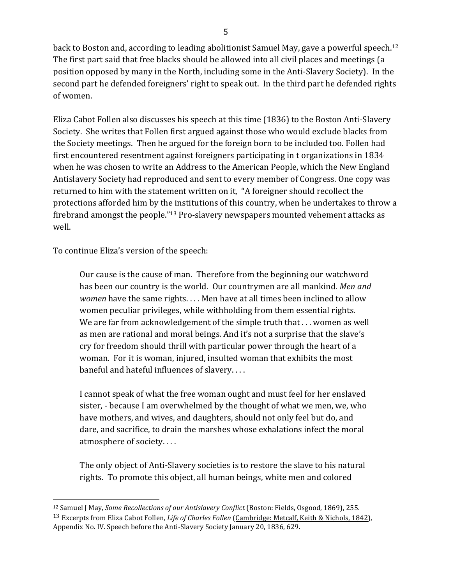back to Boston and, according to leading abolitionist Samuel May, gave a powerful speech.<sup>12</sup> The first part said that free blacks should be allowed into all civil places and meetings (a position opposed by many in the North, including some in the Anti-Slavery Society). In the second part he defended foreigners' right to speak out. In the third part he defended rights of women.

Eliza Cabot Follen also discusses his speech at this time (1836) to the Boston Anti-Slavery Society. She writes that Follen first argued against those who would exclude blacks from the Society meetings. Then he argued for the foreign born to be included too. Follen had first encountered resentment against foreigners participating in t organizations in 1834 when he was chosen to write an Address to the American People, which the New England Antislavery Society had reproduced and sent to every member of Congress. One copy was returned to him with the statement written on it, "A foreigner should recollect the protections afforded him by the institutions of this country, when he undertakes to throw a firebrand amongst the people."<sup>13</sup> Pro-slavery newspapers mounted vehement attacks as well.

To continue Eliza's version of the speech:

 

Our cause is the cause of man. Therefore from the beginning our watchword has been our country is the world. Our countrymen are all mankind. Men and *women* have the same rights. . . . Men have at all times been inclined to allow women peculiar privileges, while withholding from them essential rights. We are far from acknowledgement of the simple truth that  $\dots$  women as well as men are rational and moral beings. And it's not a surprise that the slave's cry for freedom should thrill with particular power through the heart of a woman. For it is woman, injured, insulted woman that exhibits the most baneful and hateful influences of slavery....

I cannot speak of what the free woman ought and must feel for her enslaved sister, - because I am overwhelmed by the thought of what we men, we, who have mothers, and wives, and daughters, should not only feel but do, and dare, and sacrifice, to drain the marshes whose exhalations infect the moral atmosphere of society....

The only object of Anti-Slavery societies is to restore the slave to his natural rights. To promote this object, all human beings, white men and colored

<sup>&</sup>lt;sup>12</sup> Samuel J May, *Some Recollections of our Antislavery Conflict* (Boston: Fields, Osgood, 1869), 255. <sup>13</sup> Excerpts from Eliza Cabot Follen, *Life of Charles Follen* (Cambridge: Metcalf, Keith & Nichols, 1842), Appendix No. IV. Speech before the Anti-Slavery Society January 20, 1836, 629.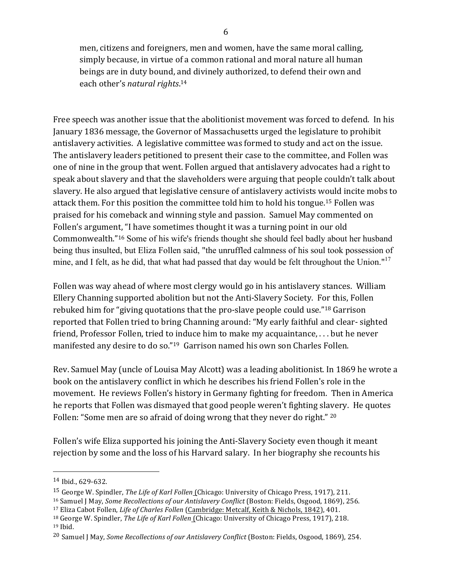men, citizens and foreigners, men and women, have the same moral calling, simply because, in virtue of a common rational and moral nature all human beings are in duty bound, and divinely authorized, to defend their own and each other's natural rights.<sup>14</sup>

Free speech was another issue that the abolitionist movement was forced to defend. In his January 1836 message, the Governor of Massachusetts urged the legislature to prohibit antislavery activities. A legislative committee was formed to study and act on the issue. The antislavery leaders petitioned to present their case to the committee, and Follen was one of nine in the group that went. Follen argued that antislavery advocates had a right to speak about slavery and that the slaveholders were arguing that people couldn't talk about slavery. He also argued that legislative censure of antislavery activists would incite mobs to attack them. For this position the committee told him to hold his tongue.<sup>15</sup> Follen was praised for his comeback and winning style and passion. Samuel May commented on Follen's argument, "I have sometimes thought it was a turning point in our old Commonwealth."16 Some of his wife's friends thought she should feel badly about her husband being thus insulted, but Eliza Follen said, "the unruffled calmness of his soul took possession of mine, and I felt, as he did, that what had passed that day would be felt throughout the Union."<sup>17</sup>

Follen was way ahead of where most clergy would go in his antislavery stances. William Ellery Channing supported abolition but not the Anti-Slavery Society. For this, Follen rebuked him for "giving quotations that the pro-slave people could use."<sup>18</sup> Garrison reported that Follen tried to bring Channing around: "My early faithful and clear- sighted friend, Professor Follen, tried to induce him to make my acquaintance,  $\dots$  but he never manifested any desire to do so."<sup>19</sup> Garrison named his own son Charles Follen.

Rev. Samuel May (uncle of Louisa May Alcott) was a leading abolitionist. In 1869 he wrote a book on the antislavery conflict in which he describes his friend Follen's role in the movement. He reviews Follen's history in Germany fighting for freedom. Then in America he reports that Follen was dismayed that good people weren't fighting slavery. He quotes Follen: "Some men are so afraid of doing wrong that they never do right." <sup>20</sup>

Follen's wife Eliza supported his joining the Anti-Slavery Society even though it meant rejection by some and the loss of his Harvard salary. In her biography she recounts his

<sup>14</sup> Ibid., 629-632.

<sup>&</sup>lt;sup>15</sup> George W. Spindler, *The Life of Karl Follen* (Chicago: University of Chicago Press, 1917), 211.

<sup>&</sup>lt;sup>16</sup> Samuel J May, *Some Recollections of our Antislavery Conflict* (Boston: Fields, Osgood, 1869), 256.

<sup>&</sup>lt;sup>17</sup> Eliza Cabot Follen, *Life of Charles Follen* (Cambridge: Metcalf, Keith & Nichols, 1842), 401.

<sup>&</sup>lt;sup>18</sup> George W. Spindler, *The Life of Karl Follen* (Chicago: University of Chicago Press, 1917), 218. <sup>19</sup> Ibid.

<sup>&</sup>lt;sup>20</sup> Samuel J May, *Some Recollections of our Antislavery Conflict* (Boston: Fields, Osgood, 1869), 254.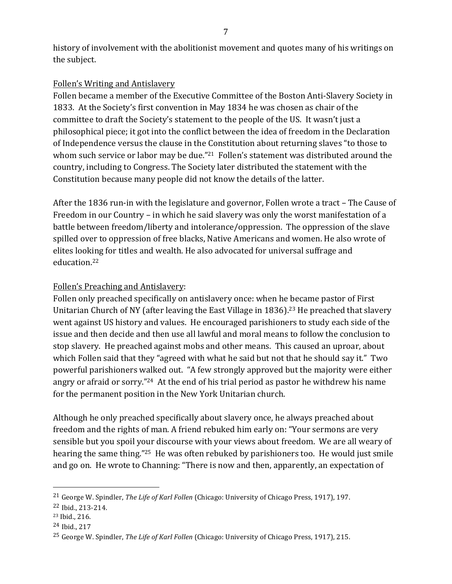history of involvement with the abolitionist movement and quotes many of his writings on the subject.

# Follen's Writing and Antislavery

Follen became a member of the Executive Committee of the Boston Anti-Slavery Society in 1833. At the Society's first convention in May 1834 he was chosen as chair of the committee to draft the Society's statement to the people of the US. It wasn't just a philosophical piece; it got into the conflict between the idea of freedom in the Declaration of Independence versus the clause in the Constitution about returning slaves "to those to whom such service or labor may be due."<sup>21</sup> Follen's statement was distributed around the country, including to Congress. The Society later distributed the statement with the Constitution because many people did not know the details of the latter.

After the 1836 run-in with the legislature and governor, Follen wrote a tract – The Cause of Freedom in our Country – in which he said slavery was only the worst manifestation of a battle between freedom/liberty and intolerance/oppression. The oppression of the slave spilled over to oppression of free blacks, Native Americans and women. He also wrote of elites looking for titles and wealth. He also advocated for universal suffrage and education.22

# Follen's Preaching and Antislavery:

Follen only preached specifically on antislavery once: when he became pastor of First Unitarian Church of NY (after leaving the East Village in  $1836$ ).<sup>23</sup> He preached that slavery went against US history and values. He encouraged parishioners to study each side of the issue and then decide and then use all lawful and moral means to follow the conclusion to stop slavery. He preached against mobs and other means. This caused an uproar, about which Follen said that they "agreed with what he said but not that he should say it." Two powerful parishioners walked out. "A few strongly approved but the majority were either angry or afraid or sorry."<sup>24</sup> At the end of his trial period as pastor he withdrew his name for the permanent position in the New York Unitarian church.

Although he only preached specifically about slavery once, he always preached about freedom and the rights of man. A friend rebuked him early on: "Your sermons are very sensible but you spoil your discourse with your views about freedom. We are all weary of hearing the same thing."<sup>25</sup> He was often rebuked by parishioners too. He would just smile and go on. He wrote to Channing: "There is now and then, apparently, an expectation of

<sup>&</sup>lt;sup>21</sup> George W. Spindler, *The Life of Karl Follen* (Chicago: University of Chicago Press, 1917), 197.

<sup>22</sup> Ibid., 213-214.

<sup>23</sup> Ibid., 216.

 $24$  Ibid., 217

<sup>&</sup>lt;sup>25</sup> George W. Spindler, *The Life of Karl Follen* (Chicago: University of Chicago Press, 1917), 215.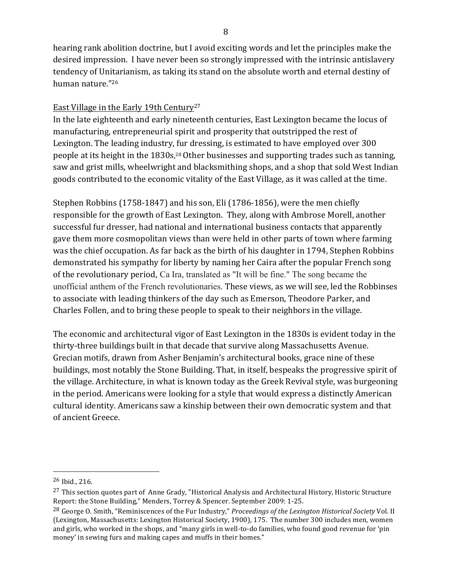hearing rank abolition doctrine, but I avoid exciting words and let the principles make the desired impression. I have never been so strongly impressed with the intrinsic antislavery tendency of Unitarianism, as taking its stand on the absolute worth and eternal destiny of human nature."26

### East Village in the Early 19th Century<sup>27</sup>

In the late eighteenth and early nineteenth centuries, East Lexington became the locus of manufacturing, entrepreneurial spirit and prosperity that outstripped the rest of Lexington. The leading industry, fur dressing, is estimated to have employed over 300 people at its height in the 1830s,<sup>28</sup> Other businesses and supporting trades such as tanning, saw and grist mills, wheelwright and blacksmithing shops, and a shop that sold West Indian goods contributed to the economic vitality of the East Village, as it was called at the time.

Stephen Robbins (1758-1847) and his son, Eli (1786-1856), were the men chiefly responsible for the growth of East Lexington. They, along with Ambrose Morell, another successful fur dresser, had national and international business contacts that apparently gave them more cosmopolitan views than were held in other parts of town where farming was the chief occupation. As far back as the birth of his daughter in 1794, Stephen Robbins demonstrated his sympathy for liberty by naming her Caira after the popular French song of the revolutionary period, Ca Ira, translated as "It will be fine." The song became the unofficial anthem of the French revolutionaries. These views, as we will see, led the Robbinses to associate with leading thinkers of the day such as Emerson, Theodore Parker, and Charles Follen, and to bring these people to speak to their neighbors in the village.

The economic and architectural vigor of East Lexington in the 1830s is evident today in the thirty-three buildings built in that decade that survive along Massachusetts Avenue. Grecian motifs, drawn from Asher Benjamin's architectural books, grace nine of these buildings, most notably the Stone Building. That, in itself, bespeaks the progressive spirit of the village. Architecture, in what is known today as the Greek Revival style, was burgeoning in the period. Americans were looking for a style that would express a distinctly American cultural identity. Americans saw a kinship between their own democratic system and that of ancient Greece.

<sup>&</sup>lt;sup>26</sup> Ibid., 216.

 $27$  This section quotes part of Anne Grady, "Historical Analysis and Architectural History, Historic Structure Report: the Stone Building," Menders, Torrey & Spencer. September 2009: 1-25.

<sup>&</sup>lt;sup>28</sup> George O. Smith, "Reminiscences of the Fur Industry," Proceedings of the Lexington Historical Society Vol. II (Lexington, Massachusetts: Lexington Historical Society, 1900), 175. The number 300 includes men, women and girls, who worked in the shops, and "many girls in well-to-do families, who found good revenue for 'pin money' in sewing furs and making capes and muffs in their homes."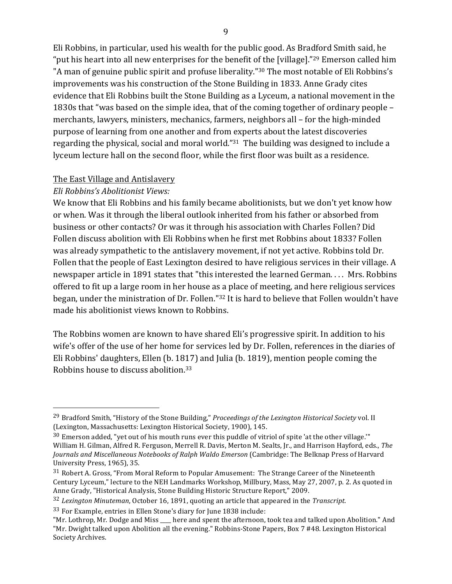Eli Robbins, in particular, used his wealth for the public good. As Bradford Smith said, he "put his heart into all new enterprises for the benefit of the [village]."<sup>29</sup> Emerson called him "A man of genuine public spirit and profuse liberality."<sup>30</sup> The most notable of Eli Robbins's improvements was his construction of the Stone Building in 1833. Anne Grady cites evidence that Eli Robbins built the Stone Building as a Lyceum, a national movement in the 1830s that "was based on the simple idea, that of the coming together of ordinary people – merchants, lawyers, ministers, mechanics, farmers, neighbors all – for the high-minded purpose of learning from one another and from experts about the latest discoveries regarding the physical, social and moral world." $31$  The building was designed to include a lyceum lecture hall on the second floor, while the first floor was built as a residence.

#### The East Village and Antislavery

#### *Eli Robbins's Abolitionist Views:*

 

We know that Eli Robbins and his family became abolitionists, but we don't yet know how or when. Was it through the liberal outlook inherited from his father or absorbed from business or other contacts? Or was it through his association with Charles Follen? Did Follen discuss abolition with Eli Robbins when he first met Robbins about 1833? Follen was already sympathetic to the antislavery movement, if not yet active. Robbins told Dr. Follen that the people of East Lexington desired to have religious services in their village. A newspaper article in 1891 states that "this interested the learned German.... Mrs. Robbins offered to fit up a large room in her house as a place of meeting, and here religious services began, under the ministration of Dr. Follen."<sup>32</sup> It is hard to believe that Follen wouldn't have made his abolitionist views known to Robbins.

The Robbins women are known to have shared Eli's progressive spirit. In addition to his wife's offer of the use of her home for services led by Dr. Follen, references in the diaries of Eli Robbins' daughters, Ellen (b. 1817) and Julia (b. 1819), mention people coming the Robbins house to discuss abolition.<sup>33</sup>

<sup>&</sup>lt;sup>29</sup> Bradford Smith, "History of the Stone Building," *Proceedings of the Lexington Historical Society* vol. II (Lexington, Massachusetts: Lexington Historical Society, 1900), 145.

<sup>&</sup>lt;sup>30</sup> Emerson added, "yet out of his mouth runs ever this puddle of vitriol of spite 'at the other village." William H. Gilman, Alfred R. Ferguson, Merrell R. Davis, Merton M. Sealts, Jr., and Harrison Hayford, eds., *The* Journals and Miscellaneous Notebooks of Ralph Waldo *Emerson* (Cambridge: The Belknap Press of Harvard University Press, 1965), 35.

<sup>&</sup>lt;sup>31</sup> Robert A. Gross, "From Moral Reform to Popular Amusement: The Strange Career of the Nineteenth Century Lyceum," lecture to the NEH Landmarks Workshop, Millbury, Mass, May 27, 2007, p. 2. As quoted in Anne Grady, "Historical Analysis, Stone Building Historic Structure Report," 2009.

<sup>&</sup>lt;sup>32</sup> Lexington Minuteman, October 16, 1891, quoting an article that appeared in the *Transcript.* 

<sup>33</sup> For Example, entries in Ellen Stone's diary for June 1838 include:

<sup>&</sup>quot;Mr. Lothrop, Mr. Dodge and Miss \_\_\_\_ here and spent the afternoon, took tea and talked upon Abolition." And "Mr. Dwight talked upon Abolition all the evening." Robbins-Stone Papers, Box 7 #48. Lexington Historical Society Archives.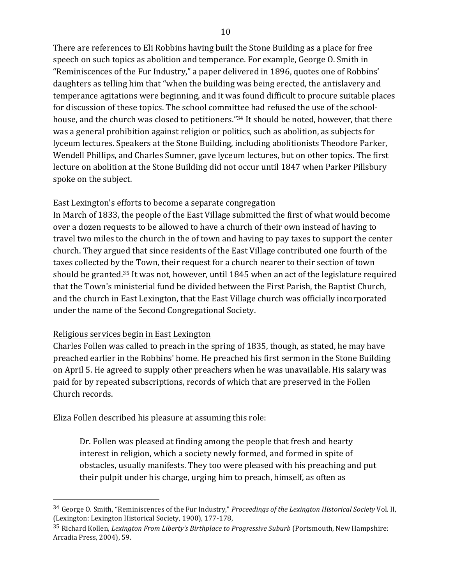There are references to Eli Robbins having built the Stone Building as a place for free speech on such topics as abolition and temperance. For example, George O. Smith in "Reminiscences of the Fur Industry," a paper delivered in 1896, quotes one of Robbins' daughters as telling him that "when the building was being erected, the antislavery and temperance agitations were beginning, and it was found difficult to procure suitable places for discussion of these topics. The school committee had refused the use of the schoolhouse, and the church was closed to petitioners."<sup>34</sup> It should be noted, however, that there was a general prohibition against religion or politics, such as abolition, as subjects for lyceum lectures. Speakers at the Stone Building, including abolitionists Theodore Parker, Wendell Phillips, and Charles Sumner, gave lyceum lectures, but on other topics. The first lecture on abolition at the Stone Building did not occur until 1847 when Parker Pillsbury spoke on the subject.

### East Lexington's efforts to become a separate congregation

In March of 1833, the people of the East Village submitted the first of what would become over a dozen requests to be allowed to have a church of their own instead of having to travel two miles to the church in the of town and having to pay taxes to support the center church. They argued that since residents of the East Village contributed one fourth of the taxes collected by the Town, their request for a church nearer to their section of town should be granted.<sup>35</sup> It was not, however, until 1845 when an act of the legislature required that the Town's ministerial fund be divided between the First Parish, the Baptist Church, and the church in East Lexington, that the East Village church was officially incorporated under the name of the Second Congregational Society.

### Religious services begin in East Lexington

 

Charles Follen was called to preach in the spring of 1835, though, as stated, he may have preached earlier in the Robbins' home. He preached his first sermon in the Stone Building on April 5. He agreed to supply other preachers when he was unavailable. His salary was paid for by repeated subscriptions, records of which that are preserved in the Follen Church records.

Eliza Follen described his pleasure at assuming this role:

Dr. Follen was pleased at finding among the people that fresh and hearty interest in religion, which a society newly formed, and formed in spite of obstacles, usually manifests. They too were pleased with his preaching and put their pulpit under his charge, urging him to preach, himself, as often as

<sup>&</sup>lt;sup>34</sup> George O. Smith, "Reminiscences of the Fur Industry," *Proceedings of the Lexington Historical Society* Vol. II, (Lexington: Lexington Historical Society, 1900), 177-178,

<sup>&</sup>lt;sup>35</sup> Richard Kollen, *Lexington From Liberty's Birthplace to Progressive Suburb* (Portsmouth, New Hampshire: Arcadia Press, 2004), 59.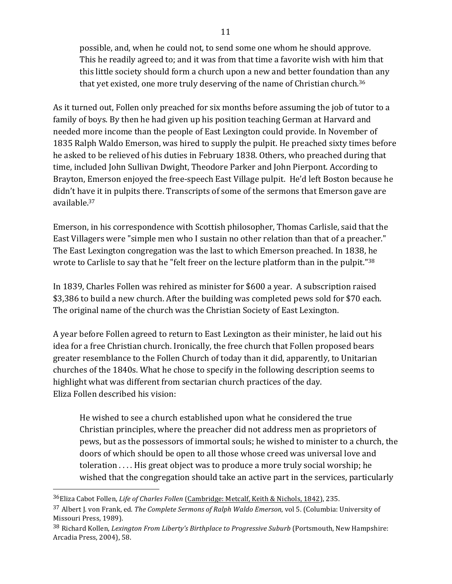possible, and, when he could not, to send some one whom he should approve. This he readily agreed to; and it was from that time a favorite wish with him that this little society should form a church upon a new and better foundation than any that yet existed, one more truly deserving of the name of Christian church.<sup>36</sup>

As it turned out, Follen only preached for six months before assuming the job of tutor to a family of boys. By then he had given up his position teaching German at Harvard and needed more income than the people of East Lexington could provide. In November of 1835 Ralph Waldo Emerson, was hired to supply the pulpit. He preached sixty times before he asked to be relieved of his duties in February 1838. Others, who preached during that time, included John Sullivan Dwight, Theodore Parker and John Pierpont. According to Brayton, Emerson enjoyed the free-speech East Village pulpit. He'd left Boston because he didn't have it in pulpits there. Transcripts of some of the sermons that Emerson gave are available.37

Emerson, in his correspondence with Scottish philosopher, Thomas Carlisle, said that the East Villagers were "simple men who I sustain no other relation than that of a preacher." The East Lexington congregation was the last to which Emerson preached. In 1838, he wrote to Carlisle to say that he "felt freer on the lecture platform than in the pulpit." $38$ 

In 1839, Charles Follen was rehired as minister for \$600 a year. A subscription raised \$3,386 to build a new church. After the building was completed pews sold for \$70 each. The original name of the church was the Christian Society of East Lexington.

A year before Follen agreed to return to East Lexington as their minister, he laid out his idea for a free Christian church. Ironically, the free church that Follen proposed bears greater resemblance to the Follen Church of today than it did, apparently, to Unitarian churches of the 1840s. What he chose to specify in the following description seems to highlight what was different from sectarian church practices of the day. Eliza Follen described his vision:

He wished to see a church established upon what he considered the true Christian principles, where the preacher did not address men as proprietors of pews, but as the possessors of immortal souls; he wished to minister to a church, the doors of which should be open to all those whose creed was universal love and toleration  $\dots$ . His great object was to produce a more truly social worship; he wished that the congregation should take an active part in the services, particularly

 

38 Richard Kollen, *Lexington From Liberty's Birthplace to Progressive Suburb* (Portsmouth, New Hampshire: Arcadia Press, 2004), 58.

<sup>&</sup>lt;sup>36</sup>Eliza Cabot Follen, *Life of Charles Follen* (Cambridge: Metcalf, Keith & Nichols, 1842), 235.

<sup>&</sup>lt;sup>37</sup> Albert J. von Frank, ed. *The Complete Sermons of Ralph Waldo Emerson*, vol 5. (Columbia: University of Missouri Press, 1989).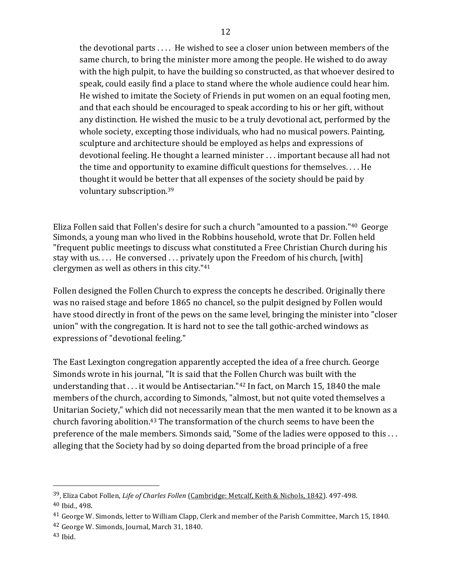the devotional parts  $\dots$ . He wished to see a closer union between members of the same church, to bring the minister more among the people. He wished to do away with the high pulpit, to have the building so constructed, as that whoever desired to speak, could easily find a place to stand where the whole audience could hear him. He wished to imitate the Society of Friends in put women on an equal footing men, and that each should be encouraged to speak according to his or her gift, without any distinction. He wished the music to be a truly devotional act, performed by the whole society, excepting those individuals, who had no musical powers. Painting, sculpture and architecture should be employed as helps and expressions of devotional feeling. He thought a learned minister ... important because all had not the time and opportunity to examine difficult questions for themselves.... He thought it would be better that all expenses of the society should be paid by voluntary subscription.<sup>39</sup>

Eliza Follen said that Follen's desire for such a church "amounted to a passion."<sup>40</sup> George Simonds, a young man who lived in the Robbins household, wrote that Dr. Follen held "frequent public meetings to discuss what constituted a Free Christian Church during his stay with us.... He conversed ... privately upon the Freedom of his church, [with] clergymen as well as others in this city." $41$ 

Follen designed the Follen Church to express the concepts he described. Originally there was no raised stage and before 1865 no chancel, so the pulpit designed by Follen would have stood directly in front of the pews on the same level, bringing the minister into "closer" union" with the congregation. It is hard not to see the tall gothic-arched windows as expressions of "devotional feeling."

The East Lexington congregation apparently accepted the idea of a free church. George Simonds wrote in his journal, "It is said that the Follen Church was built with the understanding that  $\dots$  it would be Antisectarian."<sup>42</sup> In fact, on March 15, 1840 the male members of the church, according to Simonds, "almost, but not quite voted themselves a Unitarian Society," which did not necessarily mean that the men wanted it to be known as a church favoring abolition.<sup>43</sup> The transformation of the church seems to have been the preference of the male members. Simonds said, "Some of the ladies were opposed to this ... alleging that the Society had by so doing departed from the broad principle of a free

<sup>&</sup>lt;sup>39</sup>, Eliza Cabot Follen, *Life of Charles Follen* (Cambridge: Metcalf, Keith & Nichols, 1842). 497-498.  $40$  Ibid.,  $498$ .

<sup>&</sup>lt;sup>41</sup> George W. Simonds, letter to William Clapp, Clerk and member of the Parish Committee, March 15, 1840.

 $42$  George W. Simonds, Journal, March 31, 1840.

 $43$  Ibid.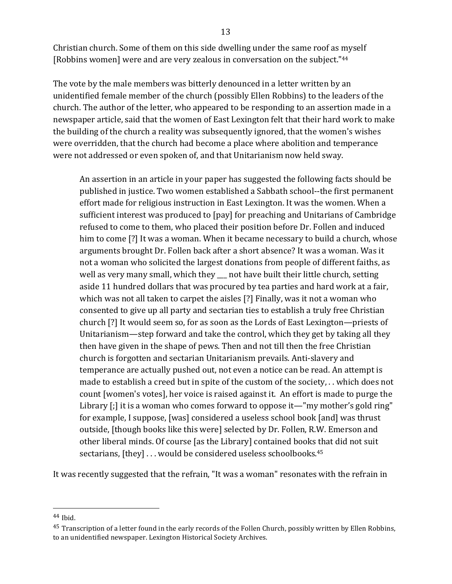Christian church. Some of them on this side dwelling under the same roof as myself [Robbins women] were and are very zealous in conversation on the subject."<sup>44</sup>

The vote by the male members was bitterly denounced in a letter written by an unidentified female member of the church (possibly Ellen Robbins) to the leaders of the church. The author of the letter, who appeared to be responding to an assertion made in a newspaper article, said that the women of East Lexington felt that their hard work to make the building of the church a reality was subsequently ignored, that the women's wishes were overridden, that the church had become a place where abolition and temperance were not addressed or even spoken of, and that Unitarianism now held sway.

An assertion in an article in your paper has suggested the following facts should be published in justice. Two women established a Sabbath school--the first permanent effort made for religious instruction in East Lexington. It was the women. When a sufficient interest was produced to [pay] for preaching and Unitarians of Cambridge refused to come to them, who placed their position before Dr. Follen and induced him to come [?] It was a woman. When it became necessary to build a church, whose arguments brought Dr. Follen back after a short absence? It was a woman. Was it not a woman who solicited the largest donations from people of different faiths, as well as very many small, which they \_\_ not have built their little church, setting aside 11 hundred dollars that was procured by tea parties and hard work at a fair, which was not all taken to carpet the aisles [?] Finally, was it not a woman who consented to give up all party and sectarian ties to establish a truly free Christian church  $[?]$  It would seem so, for as soon as the Lords of East Lexington—priests of Unitarianism—step forward and take the control, which they get by taking all they then have given in the shape of pews. Then and not till then the free Christian church is forgotten and sectarian Unitarianism prevails. Anti-slavery and temperance are actually pushed out, not even a notice can be read. An attempt is made to establish a creed but in spite of the custom of the society,  $\ldots$  which does not count [women's votes], her voice is raised against it. An effort is made to purge the Library  $\left[\cdot\right]$  it is a woman who comes forward to oppose it—"my mother's gold ring" for example, I suppose, [was] considered a useless school book [and] was thrust outside, [though books like this were] selected by Dr. Follen, R.W. Emerson and other liberal minds. Of course [as the Library] contained books that did not suit sectarians,  $[they] \ldots$  would be considered useless schoolbooks.<sup>45</sup>

It was recently suggested that the refrain, "It was a woman" resonates with the refrain in

<sup>44</sup> Ibid.

<sup>&</sup>lt;sup>45</sup> Transcription of a letter found in the early records of the Follen Church, possibly written by Ellen Robbins, to an unidentified newspaper. Lexington Historical Society Archives.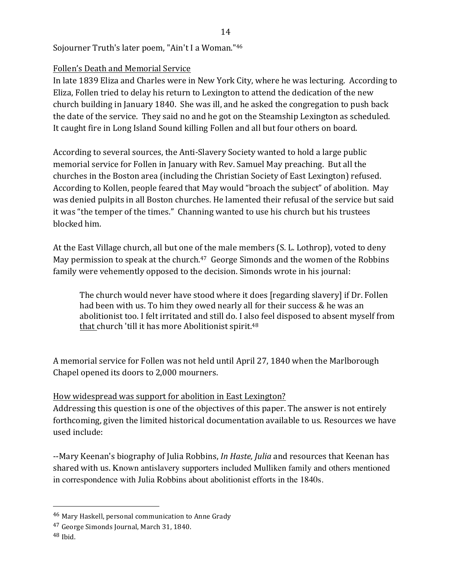# Sojourner Truth's later poem, "Ain't I a Woman."<sup>46</sup>

### Follen's Death and Memorial Service

In late 1839 Eliza and Charles were in New York City, where he was lecturing. According to Eliza, Follen tried to delay his return to Lexington to attend the dedication of the new church building in January 1840. She was ill, and he asked the congregation to push back the date of the service. They said no and he got on the Steamship Lexington as scheduled. It caught fire in Long Island Sound killing Follen and all but four others on board.

According to several sources, the Anti-Slavery Society wanted to hold a large public memorial service for Follen in January with Rev. Samuel May preaching. But all the churches in the Boston area (including the Christian Society of East Lexington) refused. According to Kollen, people feared that May would "broach the subject" of abolition. May was denied pulpits in all Boston churches. He lamented their refusal of the service but said it was "the temper of the times." Channing wanted to use his church but his trustees blocked him.

At the East Village church, all but one of the male members (S. L. Lothrop), voted to deny May permission to speak at the church. $47$  George Simonds and the women of the Robbins family were vehemently opposed to the decision. Simonds wrote in his journal:

The church would never have stood where it does [regarding slavery] if Dr. Follen had been with us. To him they owed nearly all for their success  $&$  he was an abolitionist too. I felt irritated and still do. I also feel disposed to absent myself from that church 'till it has more Abolitionist spirit.<sup>48</sup>

A memorial service for Follen was not held until April 27, 1840 when the Marlborough Chapel opened its doors to 2,000 mourners.

### How widespread was support for abolition in East Lexington?

Addressing this question is one of the objectives of this paper. The answer is not entirely forthcoming, given the limited historical documentation available to us. Resources we have used include:

--Mary Keenan's biography of Julia Robbins, *In Haste, Julia* and resources that Keenan has shared with us. Known antislavery supporters included Mulliken family and others mentioned in correspondence with Julia Robbins about abolitionist efforts in the 1840s.

<sup>&</sup>lt;sup>46</sup> Mary Haskell, personal communication to Anne Grady

<sup>&</sup>lt;sup>47</sup> George Simonds Journal, March 31, 1840.

 $48$  Ibid.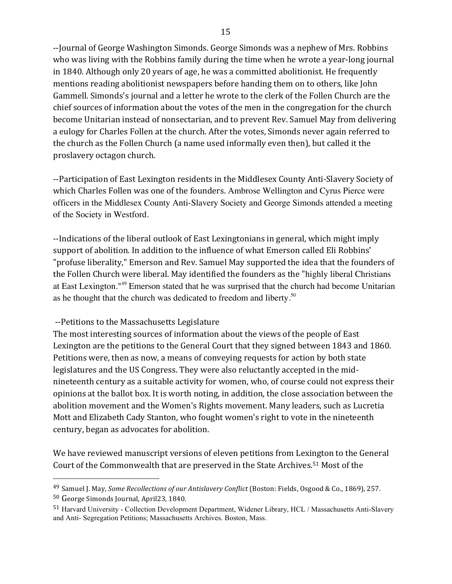--Journal of George Washington Simonds. George Simonds was a nephew of Mrs. Robbins who was living with the Robbins family during the time when he wrote a year-long journal in 1840. Although only 20 years of age, he was a committed abolitionist. He frequently mentions reading abolitionist newspapers before handing them on to others, like John Gammell. Simonds's journal and a letter he wrote to the clerk of the Follen Church are the chief sources of information about the votes of the men in the congregation for the church become Unitarian instead of nonsectarian, and to prevent Rev. Samuel May from delivering a eulogy for Charles Follen at the church. After the votes, Simonds never again referred to the church as the Follen Church (a name used informally even then), but called it the proslavery octagon church.

--Participation of East Lexington residents in the Middlesex County Anti-Slavery Society of which Charles Follen was one of the founders. Ambrose Wellington and Cyrus Pierce were officers in the Middlesex County Anti-Slavery Society and George Simonds attended a meeting of the Society in Westford.

--Indications of the liberal outlook of East Lexingtonians in general, which might imply support of abolition. In addition to the influence of what Emerson called Eli Robbins' "profuse liberality," Emerson and Rev. Samuel May supported the idea that the founders of the Follen Church were liberal. May identified the founders as the "highly liberal Christians at East Lexington."<sup>49</sup> Emerson stated that he was surprised that the church had become Unitarian as he thought that the church was dedicated to freedom and liberty.<sup>50</sup>

### --Petitions to the Massachusetts Legislature

The most interesting sources of information about the views of the people of East Lexington are the petitions to the General Court that they signed between 1843 and 1860. Petitions were, then as now, a means of conveying requests for action by both state legislatures and the US Congress. They were also reluctantly accepted in the midnineteenth century as a suitable activity for women, who, of course could not express their opinions at the ballot box. It is worth noting, in addition, the close association between the abolition movement and the Women's Rights movement. Many leaders, such as Lucretia Mott and Elizabeth Cady Stanton, who fought women's right to vote in the nineteenth century, began as advocates for abolition.

We have reviewed manuscript versions of eleven petitions from Lexington to the General Court of the Commonwealth that are preserved in the State Archives.<sup>51</sup> Most of the

<sup>&</sup>lt;sup>49</sup> Samuel J. May, *Some Recollections of our Antislavery Conflict* (Boston: Fields, Osgood & Co., 1869), 257.

<sup>50</sup> George Simonds Journal, April23, 1840.

<sup>51</sup> Harvard University - Collection Development Department, Widener Library, HCL / Massachusetts Anti-Slavery and Anti- Segregation Petitions; Massachusetts Archives. Boston, Mass.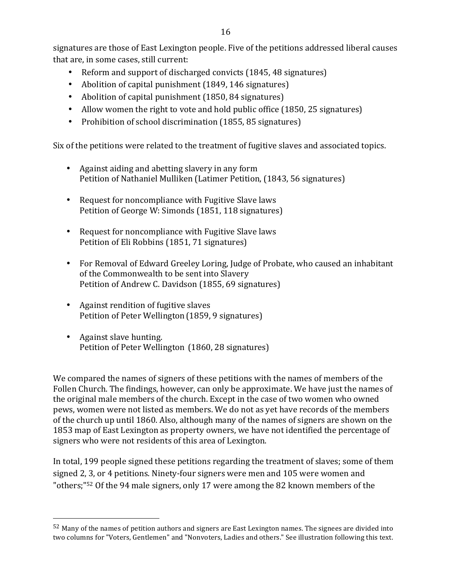signatures are those of East Lexington people. Five of the petitions addressed liberal causes that are, in some cases, still current:

- Reform and support of discharged convicts (1845, 48 signatures)
- Abolition of capital punishment (1849, 146 signatures)
- Abolition of capital punishment (1850, 84 signatures)
- Allow women the right to vote and hold public office (1850, 25 signatures)
- Prohibition of school discrimination (1855, 85 signatures)

Six of the petitions were related to the treatment of fugitive slaves and associated topics.

- Against aiding and abetting slavery in any form Petition of Nathaniel Mulliken (Latimer Petition, (1843, 56 signatures)
- Request for noncompliance with Fugitive Slave laws Petition of George W: Simonds (1851, 118 signatures)
- Request for noncompliance with Fugitive Slave laws Petition of Eli Robbins (1851, 71 signatures)
- For Removal of Edward Greeley Loring, Judge of Probate, who caused an inhabitant of the Commonwealth to be sent into Slavery Petition of Andrew C. Davidson (1855, 69 signatures)
- Against rendition of fugitive slaves Petition of Peter Wellington (1859, 9 signatures)
- Against slave hunting. Petition of Peter Wellington (1860, 28 signatures)

 

We compared the names of signers of these petitions with the names of members of the Follen Church. The findings, however, can only be approximate. We have just the names of the original male members of the church. Except in the case of two women who owned pews, women were not listed as members. We do not as yet have records of the members of the church up until 1860. Also, although many of the names of signers are shown on the 1853 map of East Lexington as property owners, we have not identified the percentage of signers who were not residents of this area of Lexington.

In total, 199 people signed these petitions regarding the treatment of slaves; some of them signed 2, 3, or 4 petitions. Ninety-four signers were men and 105 were women and "others;" $52$  Of the 94 male signers, only 17 were among the 82 known members of the

 $52$  Many of the names of petition authors and signers are East Lexington names. The signees are divided into two columns for "Voters, Gentlemen" and "Nonvoters, Ladies and others." See illustration following this text.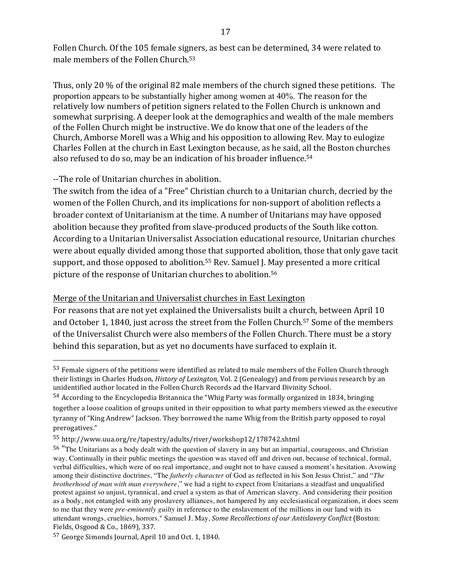Follen Church. Of the 105 female signers, as best can be determined, 34 were related to male members of the Follen Church. $53$ 

Thus, only 20 % of the original 82 male members of the church signed these petitions. The proportion appears to be substantially higher among women at  $40\%$ . The reason for the relatively low numbers of petition signers related to the Follen Church is unknown and somewhat surprising. A deeper look at the demographics and wealth of the male members of the Follen Church might be instructive. We do know that one of the leaders of the Church, Amborse Morell was a Whig and his opposition to allowing Rev. May to eulogize Charles Follen at the church in East Lexington because, as he said, all the Boston churches also refused to do so, may be an indication of his broader influence.<sup>54</sup>

--The role of Unitarian churches in abolition.

The switch from the idea of a "Free" Christian church to a Unitarian church, decried by the women of the Follen Church, and its implications for non-support of abolition reflects a broader context of Unitarianism at the time. A number of Unitarians may have opposed abolition because they profited from slave-produced products of the South like cotton. According to a Unitarian Universalist Association educational resource, Unitarian churches were about equally divided among those that supported abolition, those that only gave tacit support, and those opposed to abolition.<sup>55</sup> Rev. Samuel J. May presented a more critical picture of the response of Unitarian churches to abolition.<sup>56</sup>

### Merge of the Unitarian and Universalist churches in East Lexington

For reasons that are not yet explained the Universalists built a church, between April 10 and October 1, 1840, just across the street from the Follen Church.<sup>57</sup> Some of the members of the Universalist Church were also members of the Follen Church. There must be a story behind this separation, but as yet no documents have surfaced to explain it.

 $53$  Female signers of the petitions were identified as related to male members of the Follen Church through their listings in Charles Hudson, *History of Lexington*, Vol. 2 (Genealogy) and from pervious research by an unidentified author located in the Follen Church Records ad the Harvard Divinity School.

<sup>54</sup> According to the Encyclopedia Britannica the "Whig Party was formally organized in 1834, bringing together a loose coalition of groups united in their opposition to what party members viewed as the executive tyranny of "King Andrew" Jackson. They borrowed the name Whig from the British party opposed to royal prerogatives."

<sup>55</sup> http://www.uua.org/re/tapestry/adults/river/workshop12/178742.shtml

<sup>56</sup> "The Unitarians as a body dealt with the question of slavery in any but an impartial, courageous, and Christian way. Continually in their public meetings the question was staved off and driven out, because of technical, formal, verbal difficulties, which were of no real importance, and ought not to have caused a moment's hesitation. Avowing among their distinctive doctrines, "The *fatherly character* of God as reflected in his Son Jesus Christ," and "*The brotherhood of man with man everywhere*," we had a right to expect from Unitarians a steadfast and unqualified protest against so unjust, tyrannical, and cruel a system as that of American slavery. And considering their position as a body, not entangled with any proslavery alliances, not hampered by any ecclesiastical organization, it does seem to me that they were *pre-eminently guilty* in reference to the enslavement of the millions in our land with its attendant wrongs, cruelties, horrors." Samuel J. May, *Some Recollections of our Antislavery Conflict* (Boston: Fields, Osgood & Co., 1869), 337.

 $57$  George Simonds Journal, April 10 and Oct. 1, 1840.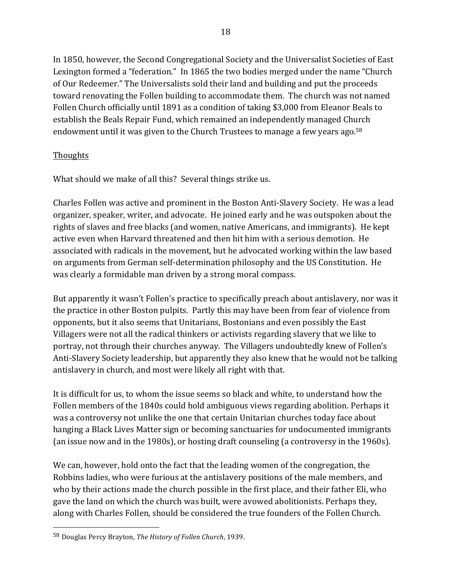In 1850, however, the Second Congregational Society and the Universalist Societies of East Lexington formed a "federation." In 1865 the two bodies merged under the name "Church" of Our Redeemer." The Universalists sold their land and building and put the proceeds toward renovating the Follen building to accommodate them. The church was not named Follen Church officially until 1891 as a condition of taking \$3,000 from Eleanor Beals to establish the Beals Repair Fund, which remained an independently managed Church endowment until it was given to the Church Trustees to manage a few years ago.<sup>58</sup>

### **Thoughts**

What should we make of all this? Several things strike us.

Charles Follen was active and prominent in the Boston Anti-Slavery Society. He was a lead organizer, speaker, writer, and advocate. He joined early and he was outspoken about the rights of slaves and free blacks (and women, native Americans, and immigrants). He kept active even when Harvard threatened and then hit him with a serious demotion. He associated with radicals in the movement, but he advocated working within the law based on arguments from German self-determination philosophy and the US Constitution. He was clearly a formidable man driven by a strong moral compass.

But apparently it wasn't Follen's practice to specifically preach about antislavery, nor was it the practice in other Boston pulpits. Partly this may have been from fear of violence from opponents, but it also seems that Unitarians, Bostonians and even possibly the East Villagers were not all the radical thinkers or activists regarding slavery that we like to portray, not through their churches anyway. The Villagers undoubtedly knew of Follen's Anti-Slavery Society leadership, but apparently they also knew that he would not be talking antislavery in church, and most were likely all right with that.

It is difficult for us, to whom the issue seems so black and white, to understand how the Follen members of the 1840s could hold ambiguous views regarding abolition. Perhaps it was a controversy not unlike the one that certain Unitarian churches today face about hanging a Black Lives Matter sign or becoming sanctuaries for undocumented immigrants (an issue now and in the 1980s), or hosting draft counseling (a controversy in the 1960s).

We can, however, hold onto the fact that the leading women of the congregation, the Robbins ladies, who were furious at the antislavery positions of the male members, and who by their actions made the church possible in the first place, and their father Eli, who gave the land on which the church was built, were avowed abolitionists. Perhaps they, along with Charles Follen, should be considered the true founders of the Follen Church.

<sup>58</sup> Douglas Percy Brayton, *The History of Follen Church*, 1939.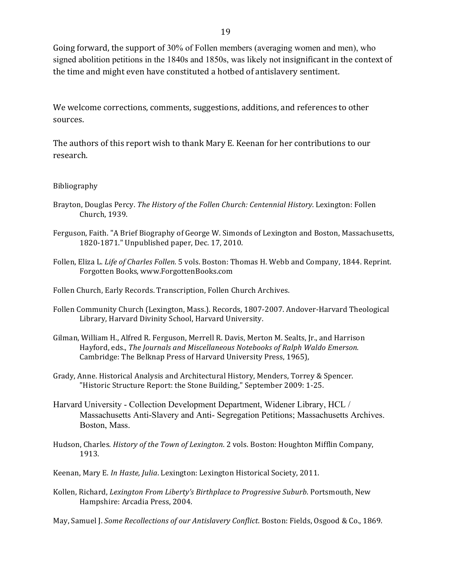Going forward, the support of 30% of Follen members (averaging women and men), who signed abolition petitions in the  $1840s$  and  $1850s$ , was likely not insignificant in the context of the time and might even have constituted a hotbed of antislavery sentiment.

We welcome corrections, comments, suggestions, additions, and references to other sources. 

The authors of this report wish to thank Mary E. Keenan for her contributions to our research.

#### Bibliography

- Brayton, Douglas Percy. *The History of the Follen Church: Centennial History*. Lexington: Follen Church, 1939.
- Ferguson, Faith. "A Brief Biography of George W. Simonds of Lexington and Boston, Massachusetts, 1820-1871." Unpublished paper, Dec. 17, 2010.
- Follen, Eliza L. *Life of Charles Follen*. 5 vols. Boston: Thomas H. Webb and Company, 1844. Reprint. Forgotten Books, www.ForgottenBooks.com

Follen Church, Early Records. Transcription, Follen Church Archives.

- Follen Community Church (Lexington, Mass.). Records, 1807-2007. Andover-Harvard Theological Library, Harvard Divinity School, Harvard University.
- Gilman, William H., Alfred R. Ferguson, Merrell R. Davis, Merton M. Sealts, Jr., and Harrison Hayford, eds., *The Journals and Miscellaneous Notebooks of Ralph Waldo Emerson.* Cambridge: The Belknap Press of Harvard University Press, 1965),
- Grady, Anne. Historical Analysis and Architectural History, Menders, Torrey & Spencer. "Historic Structure Report: the Stone Building," September 2009: 1-25.
- Harvard University Collection Development Department, Widener Library, HCL / Massachusetts Anti-Slavery and Anti- Segregation Petitions; Massachusetts Archives. Boston, Mass.
- Hudson, Charles. *History of the Town of Lexington*. 2 vols. Boston: Houghton Mifflin Company, 1913.
- Keenan, Mary E. *In Haste, Julia*. Lexington: Lexington Historical Society, 2011.
- Kollen, Richard, *Lexington From Liberty's Birthplace to Progressive Suburb*. Portsmouth, New Hampshire: Arcadia Press, 2004.

May, Samuel J. *Some Recollections of our Antislavery Conflict*. Boston: Fields, Osgood & Co., 1869.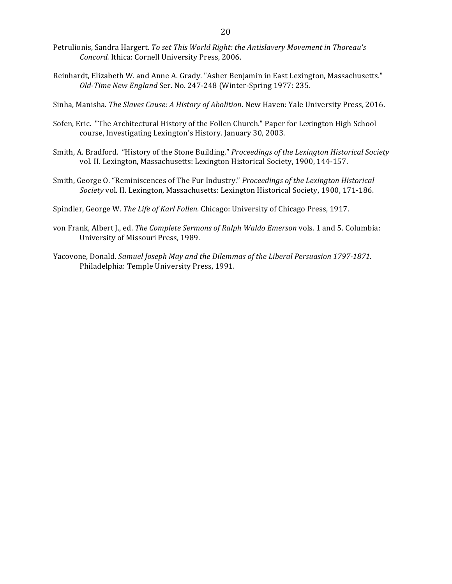- Petrulionis, Sandra Hargert. To set This World Right: the Antislavery Movement in Thoreau's Concord. Ithica: Cornell University Press, 2006.
- Reinhardt, Elizabeth W. and Anne A. Grady. "Asher Benjamin in East Lexington, Massachusetts." *Old-Time New England Ser. No. 247-248* (Winter-Spring 1977: 235.
- Sinha, Manisha. *The Slaves Cause: A History of Abolition*. New Haven: Yale University Press, 2016.
- Sofen, Eric. "The Architectural History of the Follen Church." Paper for Lexington High School course, Investigating Lexington's History. January 30, 2003.
- Smith, A. Bradford. "History of the Stone Building." Proceedings of the Lexington Historical Society vol. II. Lexington, Massachusetts: Lexington Historical Society, 1900, 144-157.
- Smith, George O. "Reminiscences of The Fur Industry." *Proceedings of the Lexington Historical Society* vol. II. Lexington, Massachusetts: Lexington Historical Society, 1900, 171-186.
- Spindler, George W. The Life of Karl Follen. Chicago: University of Chicago Press, 1917.
- von Frank, Albert J., ed. *The Complete Sermons of Ralph Waldo Emerson* vols. 1 and 5. Columbia: University of Missouri Press, 1989.
- Yacovone, Donald. *Samuel Joseph May and the Dilemmas of the Liberal Persuasion 1797-1871*. Philadelphia: Temple University Press, 1991.